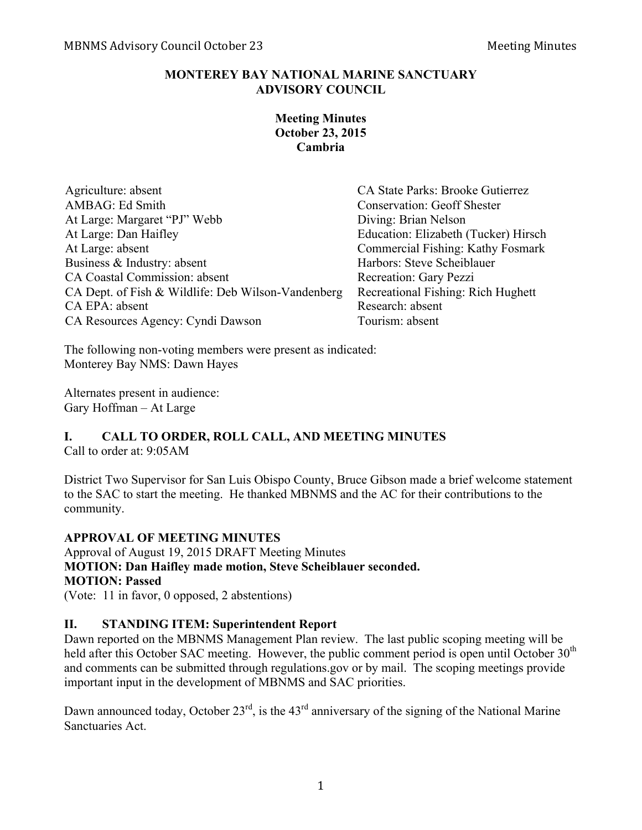## **MONTEREY BAY NATIONAL MARINE SANCTUARY ADVISORY COUNCIL**

## **Meeting Minutes October 23, 2015 Cambria**

| Agriculture: absent                                | CA State Parks: Brooke Gutierrez     |
|----------------------------------------------------|--------------------------------------|
| <b>AMBAG: Ed Smith</b>                             | <b>Conservation: Geoff Shester</b>   |
| At Large: Margaret "PJ" Webb                       | Diving: Brian Nelson                 |
| At Large: Dan Haifley                              | Education: Elizabeth (Tucker) Hirsch |
| At Large: absent                                   | Commercial Fishing: Kathy Fosmark    |
| Business & Industry: absent                        | Harbors: Steve Scheiblauer           |
| CA Coastal Commission: absent                      | Recreation: Gary Pezzi               |
| CA Dept. of Fish & Wildlife: Deb Wilson-Vandenberg | Recreational Fishing: Rich Hughett   |
| CA EPA: absent                                     | Research: absent                     |
| CA Resources Agency: Cyndi Dawson                  | Tourism: absent                      |

The following non-voting members were present as indicated: Monterey Bay NMS: Dawn Hayes

Alternates present in audience: Gary Hoffman – At Large

# **I. CALL TO ORDER, ROLL CALL, AND MEETING MINUTES**

Call to order at: 9:05AM

District Two Supervisor for San Luis Obispo County, Bruce Gibson made a brief welcome statement to the SAC to start the meeting. He thanked MBNMS and the AC for their contributions to the community.

## **APPROVAL OF MEETING MINUTES**

Approval of August 19, 2015 DRAFT Meeting Minutes **MOTION: Dan Haifley made motion, Steve Scheiblauer seconded. MOTION: Passed**

(Vote: 11 in favor, 0 opposed, 2 abstentions)

# **II. STANDING ITEM: Superintendent Report**

Dawn reported on the MBNMS Management Plan review. The last public scoping meeting will be held after this October SAC meeting. However, the public comment period is open until October  $30<sup>th</sup>$ and comments can be submitted through regulations.gov or by mail. The scoping meetings provide important input in the development of MBNMS and SAC priorities.

Dawn announced today, October  $23<sup>rd</sup>$ , is the  $43<sup>rd</sup>$  anniversary of the signing of the National Marine Sanctuaries Act.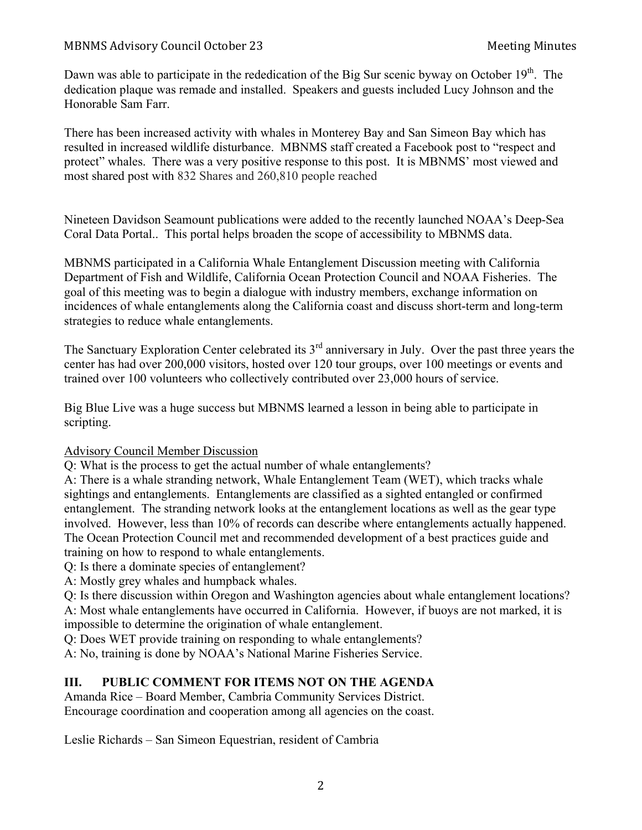Dawn was able to participate in the rededication of the Big Sur scenic byway on October 19<sup>th</sup>. The dedication plaque was remade and installed. Speakers and guests included Lucy Johnson and the Honorable Sam Farr.

There has been increased activity with whales in Monterey Bay and San Simeon Bay which has resulted in increased wildlife disturbance. MBNMS staff created a Facebook post to "respect and protect" whales. There was a very positive response to this post. It is MBNMS' most viewed and most shared post with 832 Shares and 260,810 people reached

Nineteen Davidson Seamount publications were added to the recently launched NOAA's Deep-Sea Coral Data Portal.. This portal helps broaden the scope of accessibility to MBNMS data.

MBNMS participated in a California Whale Entanglement Discussion meeting with California Department of Fish and Wildlife, California Ocean Protection Council and NOAA Fisheries. The goal of this meeting was to begin a dialogue with industry members, exchange information on incidences of whale entanglements along the California coast and discuss short-term and long-term strategies to reduce whale entanglements.

The Sanctuary Exploration Center celebrated its 3<sup>rd</sup> anniversary in July. Over the past three years the center has had over 200,000 visitors, hosted over 120 tour groups, over 100 meetings or events and trained over 100 volunteers who collectively contributed over 23,000 hours of service.

Big Blue Live was a huge success but MBNMS learned a lesson in being able to participate in scripting.

#### Advisory Council Member Discussion

Q: What is the process to get the actual number of whale entanglements?

A: There is a whale stranding network, Whale Entanglement Team (WET), which tracks whale sightings and entanglements. Entanglements are classified as a sighted entangled or confirmed entanglement. The stranding network looks at the entanglement locations as well as the gear type involved. However, less than 10% of records can describe where entanglements actually happened. The Ocean Protection Council met and recommended development of a best practices guide and training on how to respond to whale entanglements.

Q: Is there a dominate species of entanglement?

A: Mostly grey whales and humpback whales.

Q: Is there discussion within Oregon and Washington agencies about whale entanglement locations? A: Most whale entanglements have occurred in California. However, if buoys are not marked, it is

impossible to determine the origination of whale entanglement.

Q: Does WET provide training on responding to whale entanglements?

A: No, training is done by NOAA's National Marine Fisheries Service.

## **III. PUBLIC COMMENT FOR ITEMS NOT ON THE AGENDA**

Amanda Rice – Board Member, Cambria Community Services District. Encourage coordination and cooperation among all agencies on the coast.

Leslie Richards – San Simeon Equestrian, resident of Cambria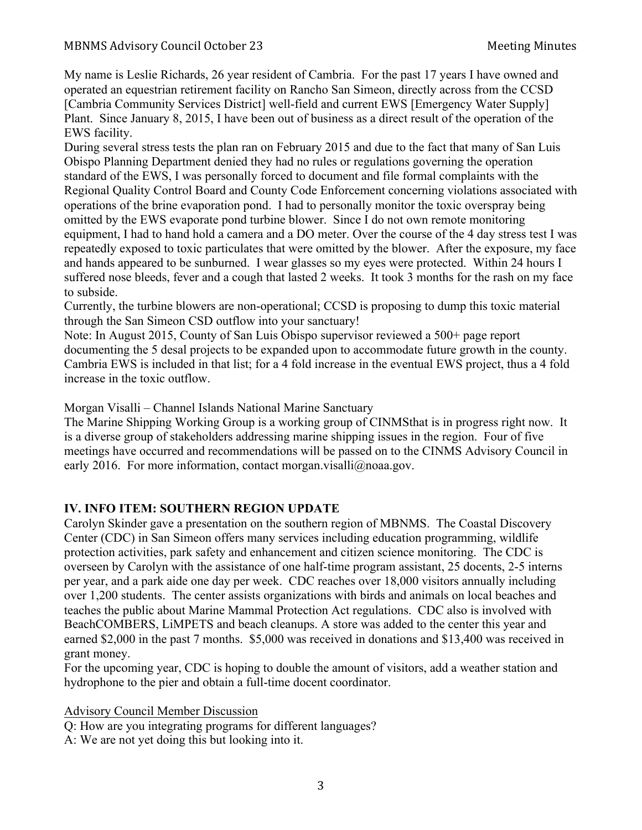My name is Leslie Richards, 26 year resident of Cambria. For the past 17 years I have owned and operated an equestrian retirement facility on Rancho San Simeon, directly across from the CCSD [Cambria Community Services District] well-field and current EWS [Emergency Water Supply] Plant. Since January 8, 2015, I have been out of business as a direct result of the operation of the EWS facility.

During several stress tests the plan ran on February 2015 and due to the fact that many of San Luis Obispo Planning Department denied they had no rules or regulations governing the operation standard of the EWS, I was personally forced to document and file formal complaints with the Regional Quality Control Board and County Code Enforcement concerning violations associated with operations of the brine evaporation pond. I had to personally monitor the toxic overspray being omitted by the EWS evaporate pond turbine blower. Since I do not own remote monitoring equipment, I had to hand hold a camera and a DO meter. Over the course of the 4 day stress test I was repeatedly exposed to toxic particulates that were omitted by the blower. After the exposure, my face and hands appeared to be sunburned. I wear glasses so my eyes were protected. Within 24 hours I suffered nose bleeds, fever and a cough that lasted 2 weeks. It took 3 months for the rash on my face to subside.

Currently, the turbine blowers are non-operational; CCSD is proposing to dump this toxic material through the San Simeon CSD outflow into your sanctuary!

Note: In August 2015, County of San Luis Obispo supervisor reviewed a 500+ page report documenting the 5 desal projects to be expanded upon to accommodate future growth in the county. Cambria EWS is included in that list; for a 4 fold increase in the eventual EWS project, thus a 4 fold increase in the toxic outflow.

Morgan Visalli – Channel Islands National Marine Sanctuary

The Marine Shipping Working Group is a working group of CINMSthat is in progress right now. It is a diverse group of stakeholders addressing marine shipping issues in the region. Four of five meetings have occurred and recommendations will be passed on to the CINMS Advisory Council in early 2016. For more information, contact morgan.visalli@noaa.gov.

## **IV. INFO ITEM: SOUTHERN REGION UPDATE**

Carolyn Skinder gave a presentation on the southern region of MBNMS. The Coastal Discovery Center (CDC) in San Simeon offers many services including education programming, wildlife protection activities, park safety and enhancement and citizen science monitoring. The CDC is overseen by Carolyn with the assistance of one half-time program assistant, 25 docents, 2-5 interns per year, and a park aide one day per week. CDC reaches over 18,000 visitors annually including over 1,200 students. The center assists organizations with birds and animals on local beaches and teaches the public about Marine Mammal Protection Act regulations. CDC also is involved with BeachCOMBERS, LiMPETS and beach cleanups. A store was added to the center this year and earned \$2,000 in the past 7 months. \$5,000 was received in donations and \$13,400 was received in grant money.

For the upcoming year, CDC is hoping to double the amount of visitors, add a weather station and hydrophone to the pier and obtain a full-time docent coordinator.

## Advisory Council Member Discussion

Q: How are you integrating programs for different languages?

A: We are not yet doing this but looking into it.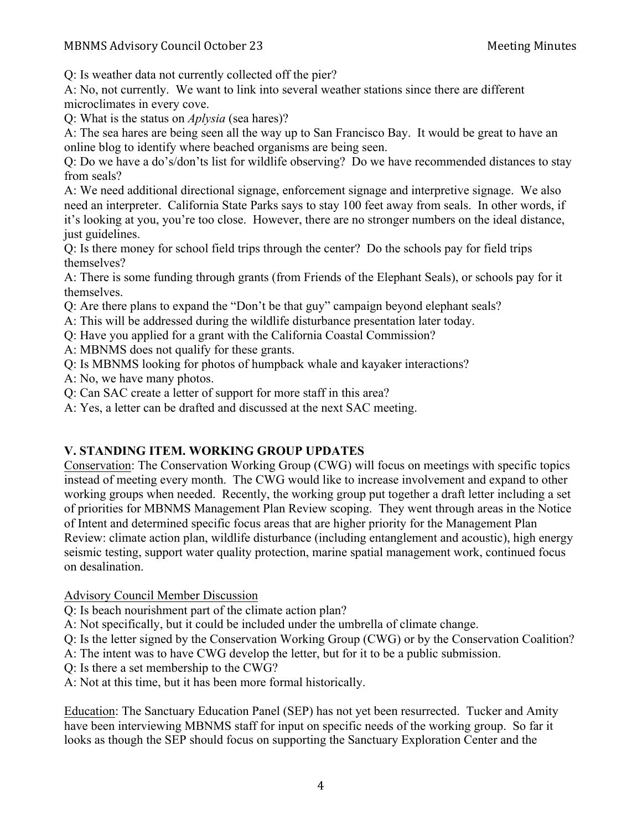Q: Is weather data not currently collected off the pier?

A: No, not currently. We want to link into several weather stations since there are different microclimates in every cove.

Q: What is the status on *Aplysia* (sea hares)?

A: The sea hares are being seen all the way up to San Francisco Bay. It would be great to have an online blog to identify where beached organisms are being seen.

Q: Do we have a do's/don'ts list for wildlife observing? Do we have recommended distances to stay from seals?

A: We need additional directional signage, enforcement signage and interpretive signage. We also need an interpreter. California State Parks says to stay 100 feet away from seals. In other words, if it's looking at you, you're too close. However, there are no stronger numbers on the ideal distance, just guidelines.

Q: Is there money for school field trips through the center? Do the schools pay for field trips themselves?

A: There is some funding through grants (from Friends of the Elephant Seals), or schools pay for it themselves.

Q: Are there plans to expand the "Don't be that guy" campaign beyond elephant seals?

- A: This will be addressed during the wildlife disturbance presentation later today.
- Q: Have you applied for a grant with the California Coastal Commission?
- A: MBNMS does not qualify for these grants.
- Q: Is MBNMS looking for photos of humpback whale and kayaker interactions?
- A: No, we have many photos.
- Q: Can SAC create a letter of support for more staff in this area?
- A: Yes, a letter can be drafted and discussed at the next SAC meeting.

# **V. STANDING ITEM. WORKING GROUP UPDATES**

Conservation: The Conservation Working Group (CWG) will focus on meetings with specific topics instead of meeting every month. The CWG would like to increase involvement and expand to other working groups when needed. Recently, the working group put together a draft letter including a set of priorities for MBNMS Management Plan Review scoping. They went through areas in the Notice of Intent and determined specific focus areas that are higher priority for the Management Plan Review: climate action plan, wildlife disturbance (including entanglement and acoustic), high energy seismic testing, support water quality protection, marine spatial management work, continued focus on desalination.

Advisory Council Member Discussion

Q: Is beach nourishment part of the climate action plan?

A: Not specifically, but it could be included under the umbrella of climate change.

Q: Is the letter signed by the Conservation Working Group (CWG) or by the Conservation Coalition?

A: The intent was to have CWG develop the letter, but for it to be a public submission.

- Q: Is there a set membership to the CWG?
- A: Not at this time, but it has been more formal historically.

Education: The Sanctuary Education Panel (SEP) has not yet been resurrected. Tucker and Amity have been interviewing MBNMS staff for input on specific needs of the working group. So far it looks as though the SEP should focus on supporting the Sanctuary Exploration Center and the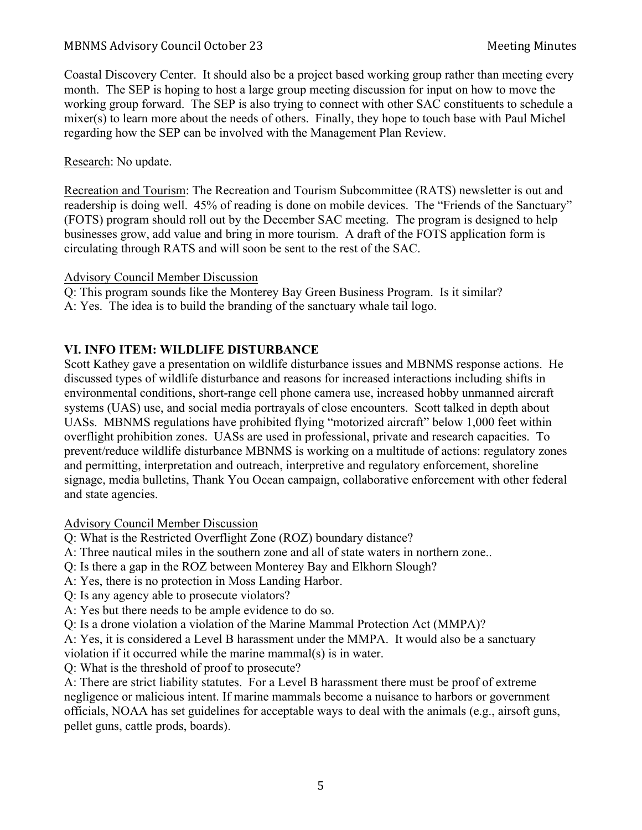Coastal Discovery Center. It should also be a project based working group rather than meeting every month. The SEP is hoping to host a large group meeting discussion for input on how to move the working group forward. The SEP is also trying to connect with other SAC constituents to schedule a mixer(s) to learn more about the needs of others. Finally, they hope to touch base with Paul Michel regarding how the SEP can be involved with the Management Plan Review.

Research: No update.

Recreation and Tourism: The Recreation and Tourism Subcommittee (RATS) newsletter is out and readership is doing well. 45% of reading is done on mobile devices. The "Friends of the Sanctuary" (FOTS) program should roll out by the December SAC meeting. The program is designed to help businesses grow, add value and bring in more tourism. A draft of the FOTS application form is circulating through RATS and will soon be sent to the rest of the SAC.

#### Advisory Council Member Discussion

Q: This program sounds like the Monterey Bay Green Business Program. Is it similar?

A: Yes. The idea is to build the branding of the sanctuary whale tail logo.

#### **VI. INFO ITEM: WILDLIFE DISTURBANCE**

Scott Kathey gave a presentation on wildlife disturbance issues and MBNMS response actions. He discussed types of wildlife disturbance and reasons for increased interactions including shifts in environmental conditions, short-range cell phone camera use, increased hobby unmanned aircraft systems (UAS) use, and social media portrayals of close encounters. Scott talked in depth about UASs. MBNMS regulations have prohibited flying "motorized aircraft" below 1,000 feet within overflight prohibition zones. UASs are used in professional, private and research capacities. To prevent/reduce wildlife disturbance MBNMS is working on a multitude of actions: regulatory zones and permitting, interpretation and outreach, interpretive and regulatory enforcement, shoreline signage, media bulletins, Thank You Ocean campaign, collaborative enforcement with other federal and state agencies.

Advisory Council Member Discussion

Q: What is the Restricted Overflight Zone (ROZ) boundary distance?

A: Three nautical miles in the southern zone and all of state waters in northern zone..

Q: Is there a gap in the ROZ between Monterey Bay and Elkhorn Slough?

- A: Yes, there is no protection in Moss Landing Harbor.
- Q: Is any agency able to prosecute violators?
- A: Yes but there needs to be ample evidence to do so.

Q: Is a drone violation a violation of the Marine Mammal Protection Act (MMPA)?

A: Yes, it is considered a Level B harassment under the MMPA. It would also be a sanctuary

violation if it occurred while the marine mammal(s) is in water.

Q: What is the threshold of proof to prosecute?

A: There are strict liability statutes. For a Level B harassment there must be proof of extreme negligence or malicious intent. If marine mammals become a nuisance to harbors or government officials, NOAA has set guidelines for acceptable ways to deal with the animals (e.g., airsoft guns, pellet guns, cattle prods, boards).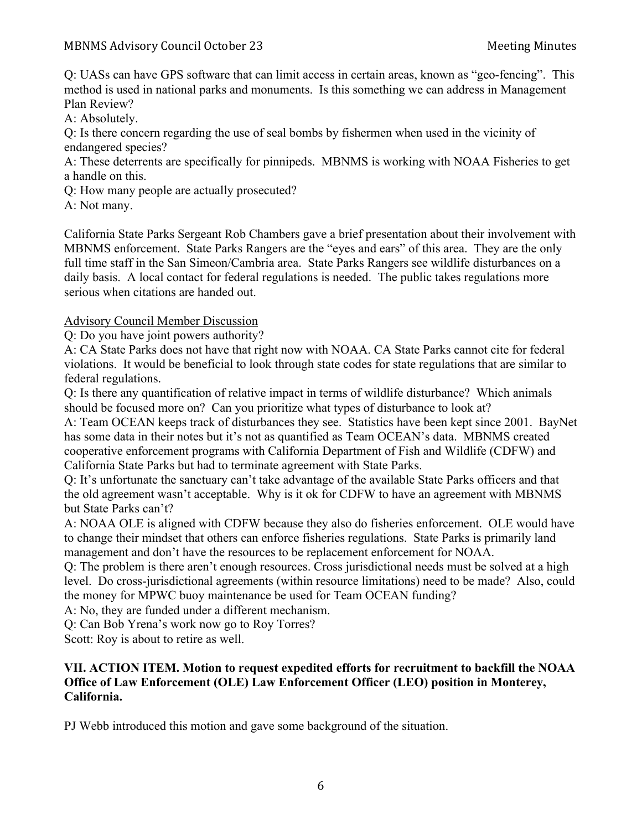Q: UASs can have GPS software that can limit access in certain areas, known as "geo-fencing". This method is used in national parks and monuments. Is this something we can address in Management Plan Review?

A: Absolutely.

Q: Is there concern regarding the use of seal bombs by fishermen when used in the vicinity of endangered species?

A: These deterrents are specifically for pinnipeds. MBNMS is working with NOAA Fisheries to get a handle on this.

Q: How many people are actually prosecuted?

A: Not many.

California State Parks Sergeant Rob Chambers gave a brief presentation about their involvement with MBNMS enforcement. State Parks Rangers are the "eyes and ears" of this area. They are the only full time staff in the San Simeon/Cambria area. State Parks Rangers see wildlife disturbances on a daily basis. A local contact for federal regulations is needed. The public takes regulations more serious when citations are handed out.

# Advisory Council Member Discussion

Q: Do you have joint powers authority?

A: CA State Parks does not have that right now with NOAA. CA State Parks cannot cite for federal violations. It would be beneficial to look through state codes for state regulations that are similar to federal regulations.

Q: Is there any quantification of relative impact in terms of wildlife disturbance? Which animals should be focused more on? Can you prioritize what types of disturbance to look at?

A: Team OCEAN keeps track of disturbances they see. Statistics have been kept since 2001. BayNet has some data in their notes but it's not as quantified as Team OCEAN's data. MBNMS created cooperative enforcement programs with California Department of Fish and Wildlife (CDFW) and California State Parks but had to terminate agreement with State Parks.

Q: It's unfortunate the sanctuary can't take advantage of the available State Parks officers and that the old agreement wasn't acceptable. Why is it ok for CDFW to have an agreement with MBNMS but State Parks can't?

A: NOAA OLE is aligned with CDFW because they also do fisheries enforcement. OLE would have to change their mindset that others can enforce fisheries regulations. State Parks is primarily land management and don't have the resources to be replacement enforcement for NOAA.

Q: The problem is there aren't enough resources. Cross jurisdictional needs must be solved at a high level. Do cross-jurisdictional agreements (within resource limitations) need to be made? Also, could the money for MPWC buoy maintenance be used for Team OCEAN funding?

A: No, they are funded under a different mechanism.

Q: Can Bob Yrena's work now go to Roy Torres?

Scott: Roy is about to retire as well.

# **VII. ACTION ITEM. Motion to request expedited efforts for recruitment to backfill the NOAA Office of Law Enforcement (OLE) Law Enforcement Officer (LEO) position in Monterey, California.**

PJ Webb introduced this motion and gave some background of the situation.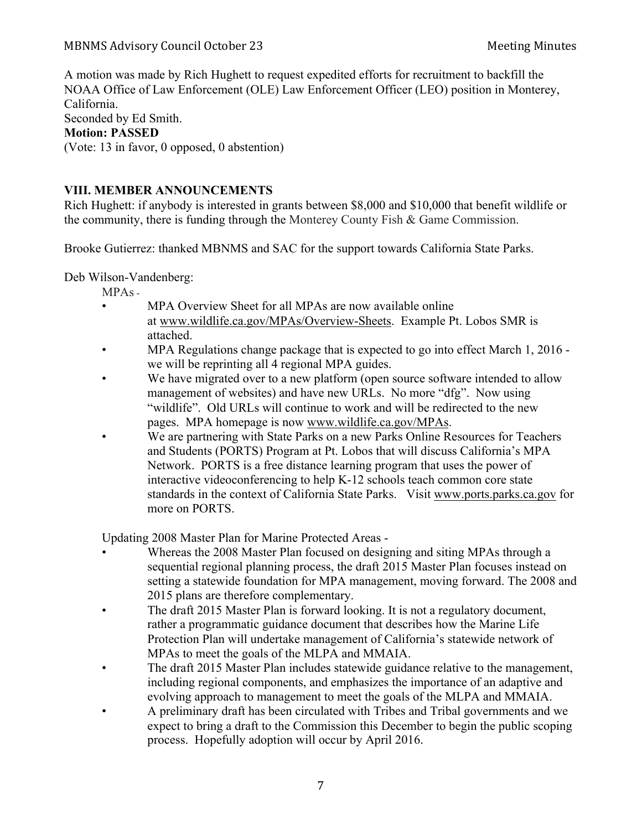A motion was made by Rich Hughett to request expedited efforts for recruitment to backfill the NOAA Office of Law Enforcement (OLE) Law Enforcement Officer (LEO) position in Monterey, California. Seconded by Ed Smith. **Motion: PASSED** (Vote: 13 in favor, 0 opposed, 0 abstention)

#### **VIII. MEMBER ANNOUNCEMENTS**

Rich Hughett: if anybody is interested in grants between \$8,000 and \$10,000 that benefit wildlife or the community, there is funding through the Monterey County Fish & Game Commission.

Brooke Gutierrez: thanked MBNMS and SAC for the support towards California State Parks.

Deb Wilson-Vandenberg:

- MPAs -
- MPA Overview Sheet for all MPAs are now available online at www.wildlife.ca.gov/MPAs/Overview-Sheets. Example Pt. Lobos SMR is attached.
- MPA Regulations change package that is expected to go into effect March 1, 2016 we will be reprinting all 4 regional MPA guides.
- We have migrated over to a new platform (open source software intended to allow management of websites) and have new URLs. No more "dfg". Now using "wildlife". Old URLs will continue to work and will be redirected to the new pages. MPA homepage is now www.wildlife.ca.gov/MPAs.
- We are partnering with State Parks on a new Parks Online Resources for Teachers and Students (PORTS) Program at Pt. Lobos that will discuss California's MPA Network. PORTS is a free distance learning program that uses the power of interactive videoconferencing to help K-12 schools teach common core state standards in the context of California State Parks. Visit www.ports.parks.ca.gov for more on PORTS.

Updating 2008 Master Plan for Marine Protected Areas -

- Whereas the 2008 Master Plan focused on designing and siting MPAs through a sequential regional planning process, the draft 2015 Master Plan focuses instead on setting a statewide foundation for MPA management, moving forward. The 2008 and 2015 plans are therefore complementary.
- The draft 2015 Master Plan is forward looking. It is not a regulatory document, rather a programmatic guidance document that describes how the Marine Life Protection Plan will undertake management of California's statewide network of MPAs to meet the goals of the MLPA and MMAIA.
- The draft 2015 Master Plan includes statewide guidance relative to the management, including regional components, and emphasizes the importance of an adaptive and evolving approach to management to meet the goals of the MLPA and MMAIA.
- A preliminary draft has been circulated with Tribes and Tribal governments and we expect to bring a draft to the Commission this December to begin the public scoping process. Hopefully adoption will occur by April 2016.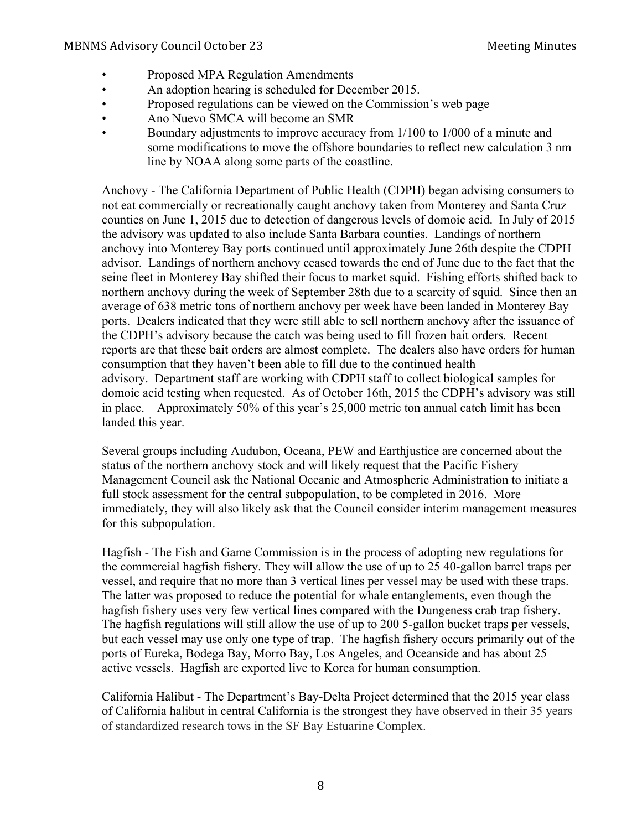- Proposed MPA Regulation Amendments
- An adoption hearing is scheduled for December 2015.
- Proposed regulations can be viewed on the Commission's web page
- Ano Nuevo SMCA will become an SMR
- Boundary adjustments to improve accuracy from 1/100 to 1/000 of a minute and some modifications to move the offshore boundaries to reflect new calculation 3 nm line by NOAA along some parts of the coastline.

Anchovy - The California Department of Public Health (CDPH) began advising consumers to not eat commercially or recreationally caught anchovy taken from Monterey and Santa Cruz counties on June 1, 2015 due to detection of dangerous levels of domoic acid. In July of 2015 the advisory was updated to also include Santa Barbara counties. Landings of northern anchovy into Monterey Bay ports continued until approximately June 26th despite the CDPH advisor. Landings of northern anchovy ceased towards the end of June due to the fact that the seine fleet in Monterey Bay shifted their focus to market squid. Fishing efforts shifted back to northern anchovy during the week of September 28th due to a scarcity of squid. Since then an average of 638 metric tons of northern anchovy per week have been landed in Monterey Bay ports. Dealers indicated that they were still able to sell northern anchovy after the issuance of the CDPH's advisory because the catch was being used to fill frozen bait orders. Recent reports are that these bait orders are almost complete. The dealers also have orders for human consumption that they haven't been able to fill due to the continued health advisory. Department staff are working with CDPH staff to collect biological samples for domoic acid testing when requested. As of October 16th, 2015 the CDPH's advisory was still in place. Approximately 50% of this year's 25,000 metric ton annual catch limit has been landed this year.

Several groups including Audubon, Oceana, PEW and Earthjustice are concerned about the status of the northern anchovy stock and will likely request that the Pacific Fishery Management Council ask the National Oceanic and Atmospheric Administration to initiate a full stock assessment for the central subpopulation, to be completed in 2016. More immediately, they will also likely ask that the Council consider interim management measures for this subpopulation.

Hagfish - The Fish and Game Commission is in the process of adopting new regulations for the commercial hagfish fishery. They will allow the use of up to 25 40-gallon barrel traps per vessel, and require that no more than 3 vertical lines per vessel may be used with these traps. The latter was proposed to reduce the potential for whale entanglements, even though the hagfish fishery uses very few vertical lines compared with the Dungeness crab trap fishery. The hagfish regulations will still allow the use of up to 200 5-gallon bucket traps per vessels, but each vessel may use only one type of trap. The hagfish fishery occurs primarily out of the ports of Eureka, Bodega Bay, Morro Bay, Los Angeles, and Oceanside and has about 25 active vessels. Hagfish are exported live to Korea for human consumption.

California Halibut - The Department's Bay-Delta Project determined that the 2015 year class of California halibut in central California is the strongest they have observed in their 35 years of standardized research tows in the SF Bay Estuarine Complex.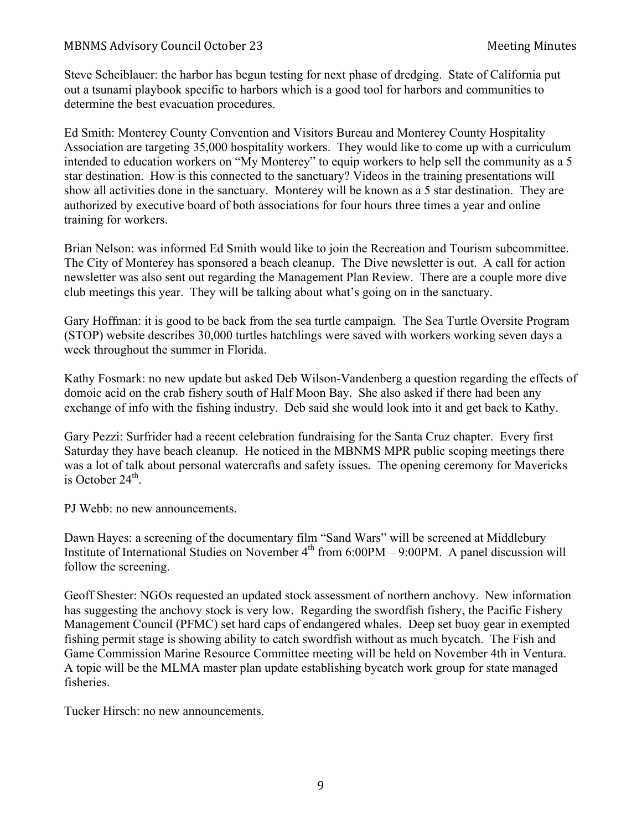Steve Scheiblauer: the harbor has begun testing for next phase of dredging. State of California put out a tsunami playbook specific to harbors which is a good tool for harbors and communities to determine the best evacuation procedures.

Ed Smith: Monterey County Convention and Visitors Bureau and Monterey County Hospitality Association are targeting 35,000 hospitality workers. They would like to come up with a curriculum intended to education workers on "My Monterey" to equip workers to help sell the community as a 5 star destination. How is this connected to the sanctuary? Videos in the training presentations will show all activities done in the sanctuary. Monterey will be known as a 5 star destination. They are authorized by executive board of both associations for four hours three times a year and online training for workers.

Brian Nelson: was informed Ed Smith would like to join the Recreation and Tourism subcommittee. The City of Monterey has sponsored a beach cleanup. The Dive newsletter is out. A call for action newsletter was also sent out regarding the Management Plan Review. There are a couple more dive club meetings this year. They will be talking about what's going on in the sanctuary.

Gary Hoffman: it is good to be back from the sea turtle campaign. The Sea Turtle Oversite Program (STOP) website describes 30,000 turtles hatchlings were saved with workers working seven days a week throughout the summer in Florida.

Kathy Fosmark: no new update but asked Deb Wilson-Vandenberg a question regarding the effects of domoic acid on the crab fishery south of Half Moon Bay. She also asked if there had been any exchange of info with the fishing industry. Deb said she would look into it and get back to Kathy.

Gary Pezzi: Surfrider had a recent celebration fundraising for the Santa Cruz chapter. Every first Saturday they have beach cleanup. He noticed in the MBNMS MPR public scoping meetings there was a lot of talk about personal watercrafts and safety issues. The opening ceremony for Mavericks is October  $24<sup>th</sup>$ .

PJ Webb: no new announcements.

Dawn Hayes: a screening of the documentary film "Sand Wars" will be screened at Middlebury Institute of International Studies on November  $4<sup>th</sup>$  from 6:00PM – 9:00PM. A panel discussion will follow the screening.

Geoff Shester: NGOs requested an updated stock assessment of northern anchovy. New information has suggesting the anchovy stock is very low. Regarding the swordfish fishery, the Pacific Fishery Management Council (PFMC) set hard caps of endangered whales. Deep set buoy gear in exempted fishing permit stage is showing ability to catch swordfish without as much bycatch. The Fish and Game Commission Marine Resource Committee meeting will be held on November 4th in Ventura. A topic will be the MLMA master plan update establishing bycatch work group for state managed fisheries.

Tucker Hirsch: no new announcements.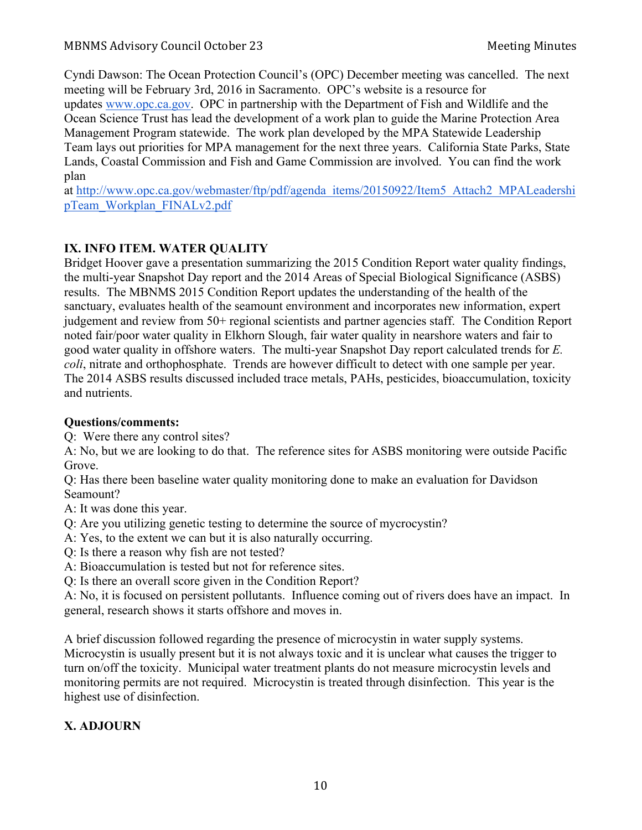Cyndi Dawson: The Ocean Protection Council's (OPC) December meeting was cancelled. The next meeting will be February 3rd, 2016 in Sacramento. OPC's website is a resource for updates www.opc.ca.gov. OPC in partnership with the Department of Fish and Wildlife and the Ocean Science Trust has lead the development of a work plan to guide the Marine Protection Area Management Program statewide. The work plan developed by the MPA Statewide Leadership Team lays out priorities for MPA management for the next three years. California State Parks, State Lands, Coastal Commission and Fish and Game Commission are involved. You can find the work plan

at http://www.opc.ca.gov/webmaster/ftp/pdf/agenda\_items/20150922/Item5\_Attach2\_MPALeadershi pTeam\_Workplan\_FINALv2.pdf

# **IX. INFO ITEM. WATER QUALITY**

Bridget Hoover gave a presentation summarizing the 2015 Condition Report water quality findings, the multi-year Snapshot Day report and the 2014 Areas of Special Biological Significance (ASBS) results. The MBNMS 2015 Condition Report updates the understanding of the health of the sanctuary, evaluates health of the seamount environment and incorporates new information, expert judgement and review from 50+ regional scientists and partner agencies staff. The Condition Report noted fair/poor water quality in Elkhorn Slough, fair water quality in nearshore waters and fair to good water quality in offshore waters. The multi-year Snapshot Day report calculated trends for *E. coli*, nitrate and orthophosphate. Trends are however difficult to detect with one sample per year. The 2014 ASBS results discussed included trace metals, PAHs, pesticides, bioaccumulation, toxicity and nutrients.

# **Questions/comments:**

Q: Were there any control sites?

A: No, but we are looking to do that. The reference sites for ASBS monitoring were outside Pacific Grove.

Q: Has there been baseline water quality monitoring done to make an evaluation for Davidson Seamount?

A: It was done this year.

- Q: Are you utilizing genetic testing to determine the source of mycrocystin?
- A: Yes, to the extent we can but it is also naturally occurring.
- Q: Is there a reason why fish are not tested?
- A: Bioaccumulation is tested but not for reference sites.
- Q: Is there an overall score given in the Condition Report?

A: No, it is focused on persistent pollutants. Influence coming out of rivers does have an impact. In general, research shows it starts offshore and moves in.

A brief discussion followed regarding the presence of microcystin in water supply systems. Microcystin is usually present but it is not always toxic and it is unclear what causes the trigger to turn on/off the toxicity. Municipal water treatment plants do not measure microcystin levels and monitoring permits are not required. Microcystin is treated through disinfection. This year is the highest use of disinfection.

# **X. ADJOURN**